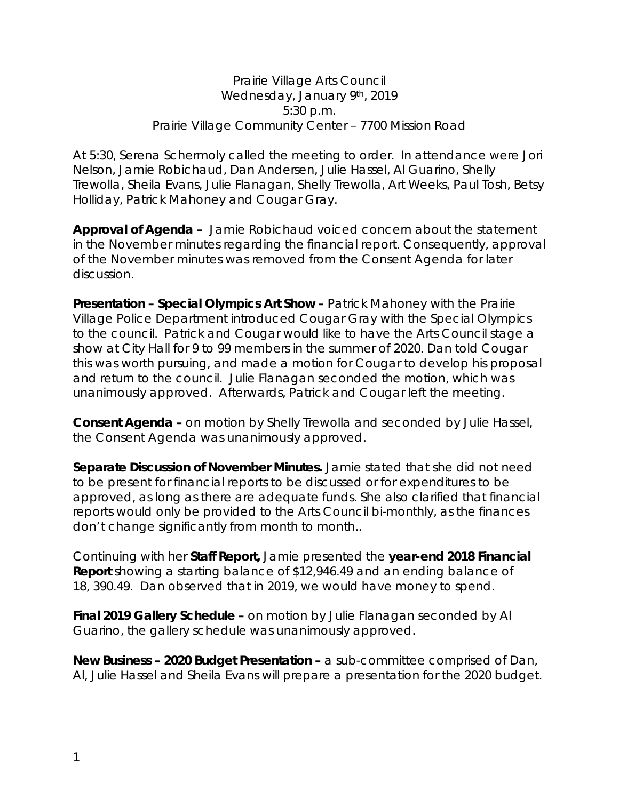Prairie Village Arts Council Wednesday, January 9th, 2019 5:30 p.m. Prairie Village Community Center – 7700 Mission Road

At 5:30, Serena Schermoly called the meeting to order. In attendance were Jori Nelson, Jamie Robichaud, Dan Andersen, Julie Hassel, Al Guarino, Shelly Trewolla, Sheila Evans, Julie Flanagan, Shelly Trewolla, Art Weeks, Paul Tosh, Betsy Holliday, Patrick Mahoney and Cougar Gray.

**Approval of Agenda –** Jamie Robichaud voiced concern about the statement in the November minutes regarding the financial report. Consequently, approval of the November minutes was removed from the Consent Agenda for later discussion.

**Presentation – Special Olympics Art Show –** Patrick Mahoney with the Prairie Village Police Department introduced Cougar Gray with the Special Olympics to the council. Patrick and Cougar would like to have the Arts Council stage a show at City Hall for 9 to 99 members in the summer of 2020. Dan told Cougar this was worth pursuing, and made a motion for Cougar to develop his proposal and return to the council. Julie Flanagan seconded the motion, which was unanimously approved. Afterwards, Patrick and Cougar left the meeting.

**Consent Agenda –** on motion by Shelly Trewolla and seconded by Julie Hassel, the Consent Agenda was unanimously approved.

**Separate Discussion of November Minutes.** Jamie stated that she did not need to be present for financial reports to be discussed or for expenditures to be approved, as long as there are adequate funds. She also clarified that financial reports would only be provided to the Arts Council bi-monthly, as the finances don't change significantly from month to month..

Continuing with her **Staff Report,** Jamie presented the **year-end 2018 Financial Report** showing a starting balance of \$12,946.49 and an ending balance of 18, 390.49. Dan observed that in 2019, we would have money to spend.

**Final 2019 Gallery Schedule –** on motion by Julie Flanagan seconded by Al Guarino, the gallery schedule was unanimously approved.

**New Business – 2020 Budget Presentation –** a sub-committee comprised of Dan, Al, Julie Hassel and Sheila Evans will prepare a presentation for the 2020 budget.